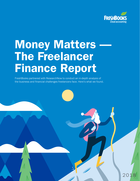

2018

# **Money Matters** The Freelancer Finance Report

FreshBooks partnered with ResearchNow to conduct an in-depth analysis of the business and financial challenges freelancers face. Here's what we found.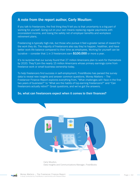#### A note from the report author, Carly Moulton:

If you talk to freelancers, the first thing they'll tell you is that uncertainty is a big part of working for yourself. Going out on your own means replacing regular paychecks with inconsistent income, and losing the safety net of employer benefits and workplace retirement plans.

Freelancing is typically high-risk, but those who pursue it feel a greater sense of reward for the work they do. The majority of freelancers also say they're happier, healthier, and have better work-life balance compared to their time as employees. Working for yourself can be lucrative – consider that 1 in 3 freelancers earn  $$100,000$  or more a year.

It's no surprise that our survey found that 27 million Americans plan to work for themselves by 2020. They'll join the nearly 15 million Americans whose primary earnings come from freelance work or small business ownership today.

To help freelancers find success in self-employment, FreshBooks has parsed the survey data to reveal new insights and answer common questions. Money Matters — The Freelancer Finance Report explores everything from, "What challenges will I face in the first two years of business?" to "What are the habits of top-earning freelancers?" and "Can freelancers actually retire?" Great questions, and we've got the answers.

#### So, what can freelancers expect when it comes to their finances?



Data Insights and Communications Manager, FreshBooks

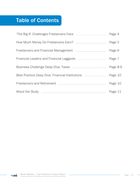## Table of Contents

| 'The Big 9' Challenges Freelancers Face                       | Page 4   |
|---------------------------------------------------------------|----------|
|                                                               | Page 5   |
|                                                               | Page 6   |
| Financial Leaders and Financial Laggards <b>Election</b> 2014 | Page 7   |
| Business Challenge Deep Dive: Taxes                           | Page 8-9 |
| Best Practice Deep Dive: Financial Institutions               | Page 10  |
|                                                               | Page 10  |
| About the Study                                               | Page 11  |

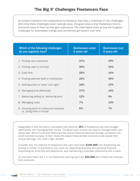As workers transition from employment to freelance, they face a multitude of new challenges. And while these challenges never really go away, the good news is that freelancers tend to overcome many of them as they gain experience. The chart below looks at how the toughest challenges for businesses change (and sometimes get easier!) over time.

| Which of the following challenges<br>do you regularly face?                                                                                                                                                                                | <b>Businesses under</b><br>2 years old        | <b>Businesses over</b><br>5 years old        |
|--------------------------------------------------------------------------------------------------------------------------------------------------------------------------------------------------------------------------------------------|-----------------------------------------------|----------------------------------------------|
| 1. Finding new customers<br>2. Finding cash to reinvest<br>3. Cash flow<br>4. Finding talented staff or contractors<br>5. Setting prices or rates "just right"<br>6. Managing time effectively<br>7. Balancing selling vs. delivering work | 37%<br>26%<br>25%<br>22%<br>16%<br>17%<br>12% | 19%<br>22%<br>14%<br>30%<br>12%<br>14%<br>9% |
| 8. Managing costs                                                                                                                                                                                                                          | 7%                                            | 13%                                          |
|                                                                                                                                                                                                                                            |                                               |                                              |
| 9. Knowing when to outsource functions<br>vs. doing them in house                                                                                                                                                                          | 6%                                            | 7%                                           |

Regardless of how tenured or successful they become, 35% of freelancers say they struggle significantly with managing their money. The good news is there are ways to manage better and stress less. We've found that following a few sound financial practices strongly correlates with small business success. In fact, those who adopt financial best practices could double their annual earnings. Yes, that's right, double!

Consider this: the majority of freelancers who earn more than \$100,000 from freelancing are putting a number of practices to use, such as: separating business and personal finances, maximizing tax write-offs and deductions, and maintaining a business relationship with a bank.

On the other hand, the 1 in 10 freelancers earning less than \$50,000 don't follow any financial best practices.

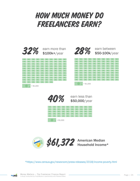## How Much Money Do Freelancers Earn?











\*https://www.census.gov/newsroom/press-releases/2018/income-poverty.html

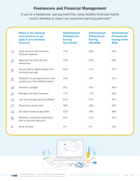### Freelancers and Financial Management

*If you're a freelancer, ask yourself this: what healthy financial habits could I develop to reach my maximum earning potential?*

|                | Which of the following<br>best practices do you<br>apply to your business<br>finances? | <b>Self-Employed</b><br><b>Professionals</b><br><b>Earning</b><br><b>Over \$100k</b> | <b>Self-Employed</b><br><b>Professionals</b><br><b>Earning</b><br>\$50-\$99k | <b>Self-Employed</b><br><b>Professionals</b><br><b>Earning Under</b><br>\$50k |
|----------------|----------------------------------------------------------------------------------------|--------------------------------------------------------------------------------------|------------------------------------------------------------------------------|-------------------------------------------------------------------------------|
| $\mathfrak{B}$ | Keep personal and business<br>finances separate                                        | 74%                                                                                  | 69%                                                                          | 59%                                                                           |
| இ              | Maximize tax write-offs and<br>deductions                                              | 73%                                                                                  | 63%                                                                          | 58%                                                                           |
| $\bigcirc$     | Pay yourself a regular salary from<br>business earnings                                | 50%                                                                                  | 37%                                                                          | 27%                                                                           |
| ${\mathbb F}$  | Establish a business structure that<br>protects you from liabilities/taxes             | 54%                                                                                  | 35%                                                                          | 31%                                                                           |
| ෯              | Maintain a budget                                                                      | 45%                                                                                  | 45%                                                                          | 44%                                                                           |
| Q              | Manage and track expenses                                                              | 72%                                                                                  | 72%                                                                          | 63%                                                                           |
| 旦              | Use accounting/financial software                                                      | 61%                                                                                  | 61%                                                                          | 44%                                                                           |
| $\mathbb{E}$   | Proactively reduce debt                                                                | 48%                                                                                  | 36%                                                                          | 26%                                                                           |
| ⊡              | Set aside money to pay taxes                                                           | 52%                                                                                  | 54%                                                                          | 38%                                                                           |
| 血              | Maintain a business relationship<br>with a financial institution                       | 63%                                                                                  | 51%                                                                          | 35%                                                                           |
| ×              | None of these                                                                          | 4%                                                                                   | 6%                                                                           | 10%                                                                           |



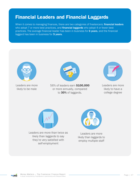## Financial Leaders and Financial Laggards

When it comes to managing finances, there are two categories of freelancers: financial leaders who adopt 7 or more best practices, and **financial laggards** who adopt 4 or fewer best practices. The average financial leader has been in business for 6 years, and the financial laggard has been in business for 5 years.



Leaders are more likely to be male



56% of leaders earn \$100,000 or more annually, compared to 30% of laggards.



Leaders are more likely to have a college degree



Leaders are more than twice as likely than laggards to say they're very satisfied with self-employment



Leaders are more likely than laggards to employ multiple staff

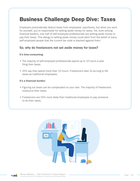## Business Challenge Deep Dive: Taxes

Employers automatically deduct taxes from employees' paychecks, but when you work for yourself, you're responsible for setting aside money for taxes. Yet, even among financial leaders, only half of self-employed professionals are setting aside money to pay their taxes. This allergy to setting aside money could stem from the belief of many self-employed people that the current tax code is stacked against them.

#### So, why do freelancers not set aside money for taxes?

#### It's time-consuming:

- The majority of self-employed professionals spend up to 10 hours a year filing their taxes.
- 20% say they spend more than 10 hours. Freelancers take 3x as long to file taxes as traditional employees.

#### It's a financial burden:

- Figuring out taxes can be complicated on your own. The majority of freelancers outsource their taxes.
- Freelancers are 50% more likely than traditional employees to pay someone to do their taxes.



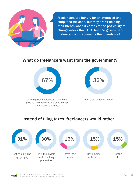

Freelancers are hungry for an improved and simplified tax code, but they aren't holding their breath when it comes to the possibility of change — less than 10% feel the government understands or represents their needs well.

## What do freelancers want from the government?



say the government should have more policies and structures in places to help entrepreneurs succeed



want a simplified tax code

## Instead of filing taxes, freelancers would rather…



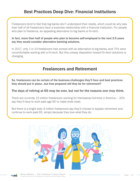## Best Practices Deep Dive: Financial Institutions

Freelancers tend to feel that big banks don't understand their needs, which could be why less than half of all freelancers have a business relationship with a financial institution. For people who plan to freelance, an appealing alternative to big banks is fin-tech.

In fact, more than half of people who plan to become self-employed in the next 2-5 years say they would consider alternative banking solutions.

In 2017, only 1 in 10 freelancers had worked with an alternative to big banks, and 75% were uncomfortable working with a fin-tech. But this uneasy disposition toward fin-tech solutions is changing.

## Freelancers and Retirement

So, freelancers can be certain of the business challenges they'll face and best practices they should put in place…but how prepared will they be for retirement?

#### The days of retiring at 65 may be over, but not for the reasons one may think.

There are currently 15 million freelancers working for themselves full-time in America — 33% say they'll have to work past age 65 to make ends meet.

But there is a bright side: 6 million freelancers say they'll choose to bypass retirement and continue to work past 65, simply because they love what they do.